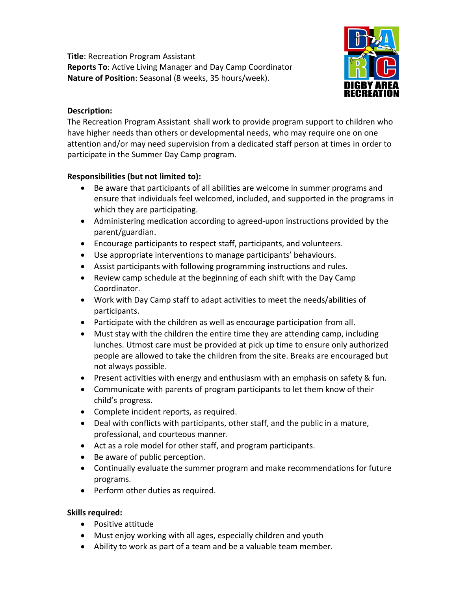**Title**: Recreation Program Assistant **Reports To**: Active Living Manager and Day Camp Coordinator **Nature of Position**: Seasonal (8 weeks, 35 hours/week).



## **Description:**

The Recreation Program Assistant shall work to provide program support to children who have higher needs than others or developmental needs, who may require one on one attention and/or may need supervision from a dedicated staff person at times in order to participate in the Summer Day Camp program.

# **Responsibilities (but not limited to):**

- Be aware that participants of all abilities are welcome in summer programs and ensure that individuals feel welcomed, included, and supported in the programs in which they are participating.
- Administering medication according to agreed-upon instructions provided by the parent/guardian.
- Encourage participants to respect staff, participants, and volunteers.
- Use appropriate interventions to manage participants' behaviours.
- Assist participants with following programming instructions and rules.
- Review camp schedule at the beginning of each shift with the Day Camp Coordinator.
- Work with Day Camp staff to adapt activities to meet the needs/abilities of participants.
- Participate with the children as well as encourage participation from all.
- Must stay with the children the entire time they are attending camp, including lunches. Utmost care must be provided at pick up time to ensure only authorized people are allowed to take the children from the site. Breaks are encouraged but not always possible.
- Present activities with energy and enthusiasm with an emphasis on safety & fun.
- Communicate with parents of program participants to let them know of their child's progress.
- Complete incident reports, as required.
- Deal with conflicts with participants, other staff, and the public in a mature, professional, and courteous manner.
- Act as a role model for other staff, and program participants.
- Be aware of public perception.
- Continually evaluate the summer program and make recommendations for future programs.
- Perform other duties as required.

#### **Skills required:**

- Positive attitude
- Must enjoy working with all ages, especially children and youth
- Ability to work as part of a team and be a valuable team member.